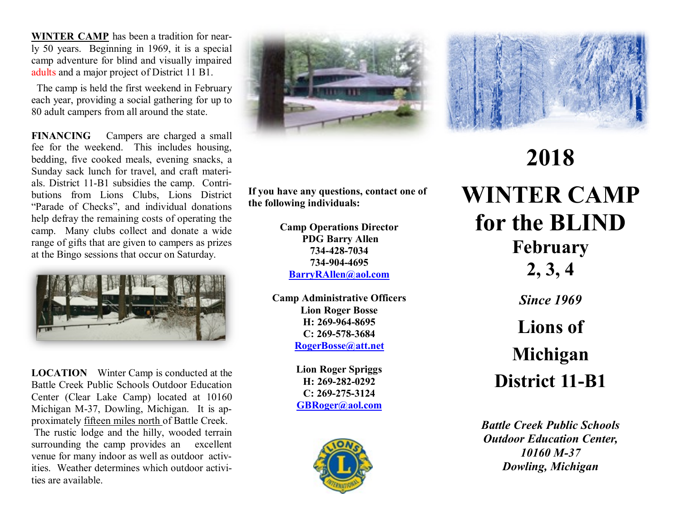**WINTER CAMP** has been a tradition for nearly 50 years. Beginning in 1969, it is a special camp adventure for blind and visually impaired adults and a major project of District 11 B1.

 The camp is held the first weekend in February each year, providing a social gathering for up to 80 adult campers from all around the state.

**FINANCING** Campers are charged a small fee for the weekend. This includes housing, bedding, five cooked meals, evening snacks, a Sunday sack lunch for travel, and craft materials. District 11-B1 subsidies the camp. Contributions from Lions Clubs, Lions District "Parade of Checks", and individual donations help defray the remaining costs of operating the camp. Many clubs collect and donate a wide range of gifts that are given to campers as prizes at the Bingo sessions that occur on Saturday.



**LOCATION** Winter Camp is conducted at the Battle Creek Public Schools Outdoor Education Center (Clear Lake Camp) located at 10160 Michigan M-37, Dowling, Michigan. It is approximately fifteen miles north of Battle Creek. The rustic lodge and the hilly, wooded terrain surrounding the camp provides an excellent venue for many indoor as well as outdoor activities. Weather determines which outdoor activities are available.



**If you have any questions, contact one of the following individuals:** 

> **Camp Operations Director PDG Barry Allen 734-428-7034 734-904-4695 [BarryRAllen@aol.com](mailto:barryrallen@aol.com)**

**Camp Administrative Officers Lion Roger Bosse H: 269-964-8695 C: 269-578-3684 RogerBosse@att.net** 

> **Lion Roger Spriggs H: 269-282-0292 C: 269-275-3124 GBRoger@aol.com**



## **2018 WINTER CAMP for the BLIND February 2, 3, 4**

*Since 1969*

## **Lions of Michigan District 11-B1**

*Battle Creek Public Schools Outdoor Education Center, 10160 M-37 Dowling, Michigan*